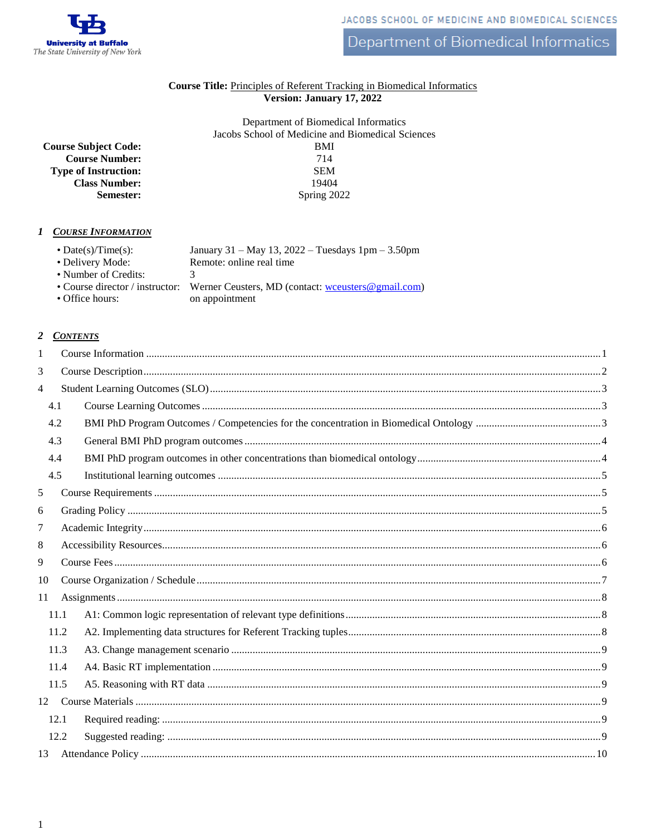

Department of Biomedical Informatics

### Course Title: Principles of Referent Tracking in Biomedical Informatics Version: January 17, 2022

Department of Biomedical Informatics Jacobs School of Medicine and Biomedical Sciences  $BMI$ 714 **SEM** 19404 Spring 2022

<span id="page-0-0"></span>1 COURSE INFORMATION

**Course Subject Code:** 

**Type of Instruction:** 

**Course Number:** 

**Class Number:** 

Semester:

| $\bullet$ Date(s)/Time(s):<br>January 31 – May 13, 2022 – Tuesdays $1pm - 3.50pm$<br>• Delivery Mode:<br>Remote: online real time<br>• Number of Credits:<br>3<br>• Course director / instructor:<br>Werner Ceusters, MD (contact: we users @gmail.com)<br>• Office hours:<br>on appointment |
|----------------------------------------------------------------------------------------------------------------------------------------------------------------------------------------------------------------------------------------------------------------------------------------------|
|----------------------------------------------------------------------------------------------------------------------------------------------------------------------------------------------------------------------------------------------------------------------------------------------|

## 2 CONTENTS

| 1              |      |  |  |  |  |
|----------------|------|--|--|--|--|
| 3              |      |  |  |  |  |
| $\overline{4}$ |      |  |  |  |  |
|                | 4.1  |  |  |  |  |
|                | 4.2  |  |  |  |  |
|                | 4.3  |  |  |  |  |
|                | 4.4  |  |  |  |  |
|                | 4.5  |  |  |  |  |
| 5              |      |  |  |  |  |
| 6              |      |  |  |  |  |
| 7              |      |  |  |  |  |
| 8              |      |  |  |  |  |
| 9              |      |  |  |  |  |
| 10             |      |  |  |  |  |
| 11             |      |  |  |  |  |
|                | 11.1 |  |  |  |  |
|                | 11.2 |  |  |  |  |
|                | 11.3 |  |  |  |  |
|                | 11.4 |  |  |  |  |
|                | 11.5 |  |  |  |  |
|                |      |  |  |  |  |
|                | 12.1 |  |  |  |  |
|                | 12.2 |  |  |  |  |
|                |      |  |  |  |  |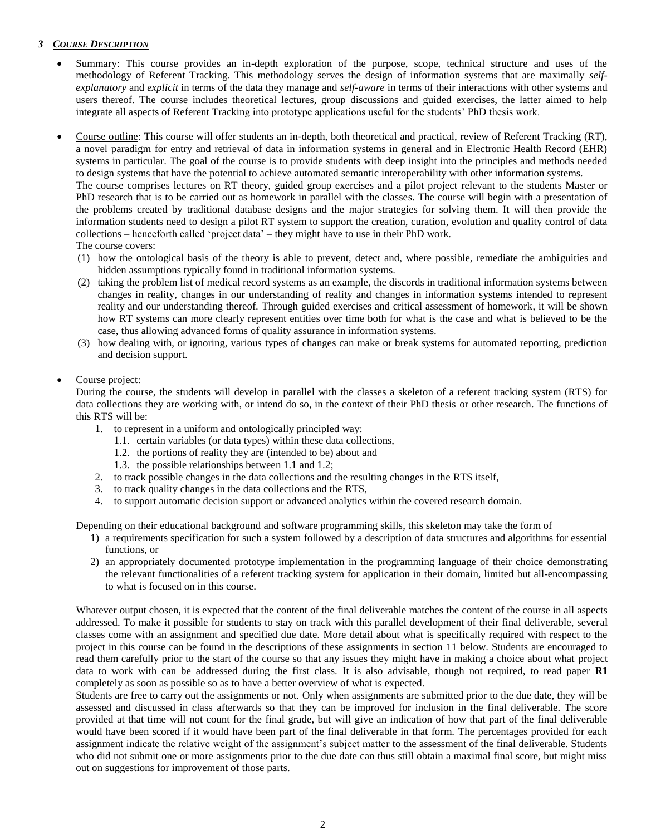## <span id="page-1-0"></span>*3 COURSE DESCRIPTION*

- Summary: This course provides an in-depth exploration of the purpose, scope, technical structure and uses of the methodology of Referent Tracking. This methodology serves the design of information systems that are maximally *selfexplanatory* and *explicit* in terms of the data they manage and *self-aware* in terms of their interactions with other systems and users thereof. The course includes theoretical lectures, group discussions and guided exercises, the latter aimed to help integrate all aspects of Referent Tracking into prototype applications useful for the students' PhD thesis work.
- Course outline: This course will offer students an in-depth, both theoretical and practical, review of Referent Tracking (RT), a novel paradigm for entry and retrieval of data in information systems in general and in Electronic Health Record (EHR) systems in particular. The goal of the course is to provide students with deep insight into the principles and methods needed to design systems that have the potential to achieve automated semantic interoperability with other information systems.

The course comprises lectures on RT theory, guided group exercises and a pilot project relevant to the students Master or PhD research that is to be carried out as homework in parallel with the classes. The course will begin with a presentation of the problems created by traditional database designs and the major strategies for solving them. It will then provide the information students need to design a pilot RT system to support the creation, curation, evolution and quality control of data collections – henceforth called 'project data' – they might have to use in their PhD work.

- The course covers:
- (1) how the ontological basis of the theory is able to prevent, detect and, where possible, remediate the ambiguities and hidden assumptions typically found in traditional information systems.
- (2) taking the problem list of medical record systems as an example, the discords in traditional information systems between changes in reality, changes in our understanding of reality and changes in information systems intended to represent reality and our understanding thereof. Through guided exercises and critical assessment of homework, it will be shown how RT systems can more clearly represent entities over time both for what is the case and what is believed to be the case, thus allowing advanced forms of quality assurance in information systems.
- (3) how dealing with, or ignoring, various types of changes can make or break systems for automated reporting, prediction and decision support.

#### Course project:

During the course, the students will develop in parallel with the classes a skeleton of a referent tracking system (RTS) for data collections they are working with, or intend do so, in the context of their PhD thesis or other research. The functions of this RTS will be:

- 1. to represent in a uniform and ontologically principled way:
	- 1.1. certain variables (or data types) within these data collections,
	- 1.2. the portions of reality they are (intended to be) about and
	- 1.3. the possible relationships between 1.1 and 1.2;
- 2. to track possible changes in the data collections and the resulting changes in the RTS itself,
- 3. to track quality changes in the data collections and the RTS,
- 4. to support automatic decision support or advanced analytics within the covered research domain.

Depending on their educational background and software programming skills, this skeleton may take the form of

- 1) a requirements specification for such a system followed by a description of data structures and algorithms for essential functions, or
- 2) an appropriately documented prototype implementation in the programming language of their choice demonstrating the relevant functionalities of a referent tracking system for application in their domain, limited but all-encompassing to what is focused on in this course.

Whatever output chosen, it is expected that the content of the final deliverable matches the content of the course in all aspects addressed. To make it possible for students to stay on track with this parallel development of their final deliverable, several classes come with an assignment and specified due date. More detail about what is specifically required with respect to the project in this course can be found in the descriptions of these assignments in section [11](#page-7-0) below. Students are encouraged to read them carefully prior to the start of the course so that any issues they might have in making a choice about what project data to work with can be addressed during the first class. It is also advisable, though not required, to read paper **R1** completely as soon as possible so as to have a better overview of what is expected.

Students are free to carry out the assignments or not. Only when assignments are submitted prior to the due date, they will be assessed and discussed in class afterwards so that they can be improved for inclusion in the final deliverable. The score provided at that time will not count for the final grade, but will give an indication of how that part of the final deliverable would have been scored if it would have been part of the final deliverable in that form. The percentages provided for each assignment indicate the relative weight of the assignment's subject matter to the assessment of the final deliverable. Students who did not submit one or more assignments prior to the due date can thus still obtain a maximal final score, but might miss out on suggestions for improvement of those parts.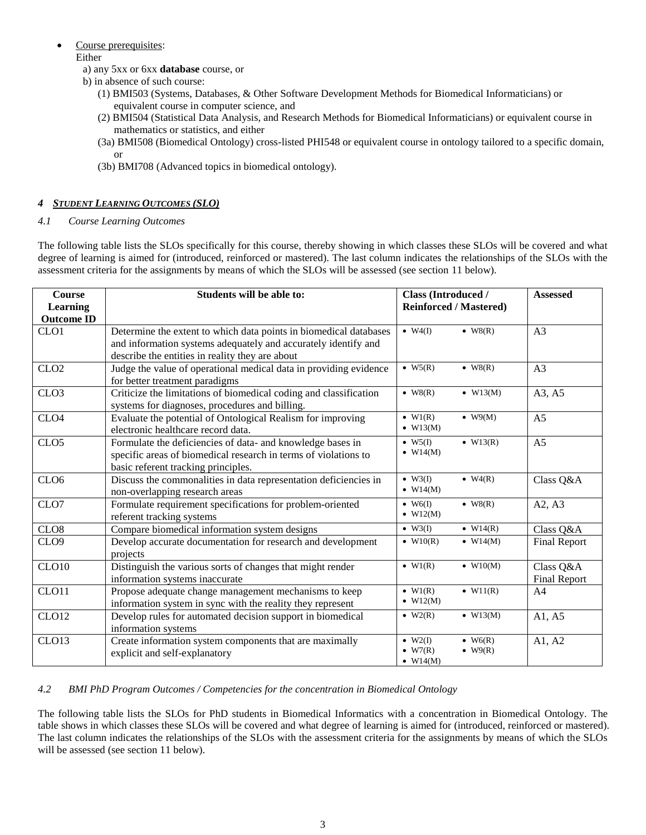- Course prerequisites: Either
	- a) any 5xx or 6xx **database** course, or
	- b) in absence of such course:
		- (1) BMI503 (Systems, Databases, & Other Software Development Methods for Biomedical Informaticians) or equivalent course in computer science, and
		- (2) BMI504 (Statistical Data Analysis, and Research Methods for Biomedical Informaticians) or equivalent course in mathematics or statistics, and either
		- (3a) BMI508 (Biomedical Ontology) cross-listed PHI548 or equivalent course in ontology tailored to a specific domain, or
		- (3b) BMI708 (Advanced topics in biomedical ontology).

# <span id="page-2-0"></span>*4 STUDENT LEARNING OUTCOMES (SLO)*

## <span id="page-2-1"></span>*4.1 Course Learning Outcomes*

The following table lists the SLOs specifically for this course, thereby showing in which classes these SLOs will be covered and what degree of learning is aimed for (introduced, reinforced or mastered). The last column indicates the relationships of the SLOs with the assessment criteria for the assignments by means of which the SLOs will be assessed (see section [11 below\)](#page-7-0).

| <b>Course</b><br><b>Learning</b><br><b>Outcome ID</b> | Students will be able to:                                                                                                                                                              | <b>Class (Introduced /</b><br><b>Reinforced / Mastered)</b>                                               | <b>Assessed</b>           |  |
|-------------------------------------------------------|----------------------------------------------------------------------------------------------------------------------------------------------------------------------------------------|-----------------------------------------------------------------------------------------------------------|---------------------------|--|
| CLO <sub>1</sub>                                      | Determine the extent to which data points in biomedical databases<br>and information systems adequately and accurately identify and<br>describe the entities in reality they are about | $\bullet$ W4(I)<br>$\bullet$ W8(R)                                                                        | A <sub>3</sub>            |  |
| CLO <sub>2</sub>                                      | Judge the value of operational medical data in providing evidence<br>for better treatment paradigms                                                                                    | $\bullet$ W <sub>5</sub> $(R)$<br>$\bullet$ W8(R)                                                         | A <sub>3</sub>            |  |
| CLO <sub>3</sub>                                      | Criticize the limitations of biomedical coding and classification<br>systems for diagnoses, procedures and billing.                                                                    | $\bullet$ W8(R)<br>$\bullet$ W13(M)                                                                       | A3, A5                    |  |
| CLO <sub>4</sub>                                      | Evaluate the potential of Ontological Realism for improving<br>electronic healthcare record data.                                                                                      | $\bullet$ W1(R)<br>$\bullet$ W9(M)<br>$\bullet$ W13(M)                                                    | A <sub>5</sub>            |  |
| CLO <sub>5</sub>                                      | Formulate the deficiencies of data- and knowledge bases in<br>specific areas of biomedical research in terms of violations to<br>basic referent tracking principles.                   | $\bullet$ W <sub>5(I)</sub><br>$\bullet$ W13(R)<br>$\bullet$ W14(M)                                       | A <sub>5</sub>            |  |
| CLO <sub>6</sub>                                      | Discuss the commonalities in data representation deficiencies in<br>non-overlapping research areas                                                                                     | $\bullet$ W3(I)<br>$\bullet$ W4(R)<br>$\bullet$ W14(M)                                                    | Class Q&A                 |  |
| CLO7                                                  | Formulate requirement specifications for problem-oriented<br>referent tracking systems                                                                                                 | $\bullet$ W6(I)<br>$\bullet$ W8(R)<br>$\bullet$ W12(M)                                                    | A2, A3                    |  |
| CLO <sub>8</sub>                                      | Compare biomedical information system designs                                                                                                                                          | $\bullet$ W14(R)<br>$\bullet$ W3(I)                                                                       | Class Q&A                 |  |
| CLO <sub>9</sub>                                      | Develop accurate documentation for research and development<br>projects                                                                                                                | $\bullet$ W10(R)<br>$\bullet$ W14(M)                                                                      | <b>Final Report</b>       |  |
| CLO10                                                 | Distinguish the various sorts of changes that might render<br>information systems inaccurate                                                                                           | $\bullet$ W10(M)<br>$\bullet$ W1(R)                                                                       | Class Q&A<br>Final Report |  |
| CLO11                                                 | Propose adequate change management mechanisms to keep<br>information system in sync with the reality they represent                                                                    | $\bullet$ W1(R)<br>$\bullet$ W11(R)<br>$\bullet$ W12(M)                                                   | A <sup>4</sup>            |  |
| CLO <sub>12</sub>                                     | Develop rules for automated decision support in biomedical<br>information systems                                                                                                      | $\bullet$ W <sub>2</sub> (R)<br>$\bullet$ W13(M)                                                          | A1, A5                    |  |
| CLO13                                                 | Create information system components that are maximally<br>explicit and self-explanatory                                                                                               | $\bullet$ W2(I)<br>$\bullet$ W <sub>6</sub> (R)<br>$\bullet$ W7(R)<br>$\bullet$ W9(R)<br>$\bullet$ W14(M) | A1, A2                    |  |

#### <span id="page-2-2"></span>*4.2 BMI PhD Program Outcomes / Competencies for the concentration in Biomedical Ontology*

The following table lists the SLOs for PhD students in Biomedical Informatics with a concentration in Biomedical Ontology. The table shows in which classes these SLOs will be covered and what degree of learning is aimed for (introduced, reinforced or mastered). The last column indicates the relationships of the SLOs with the assessment criteria for the assignments by means of which the SLOs will be assessed (see section [11 below\)](#page-7-0).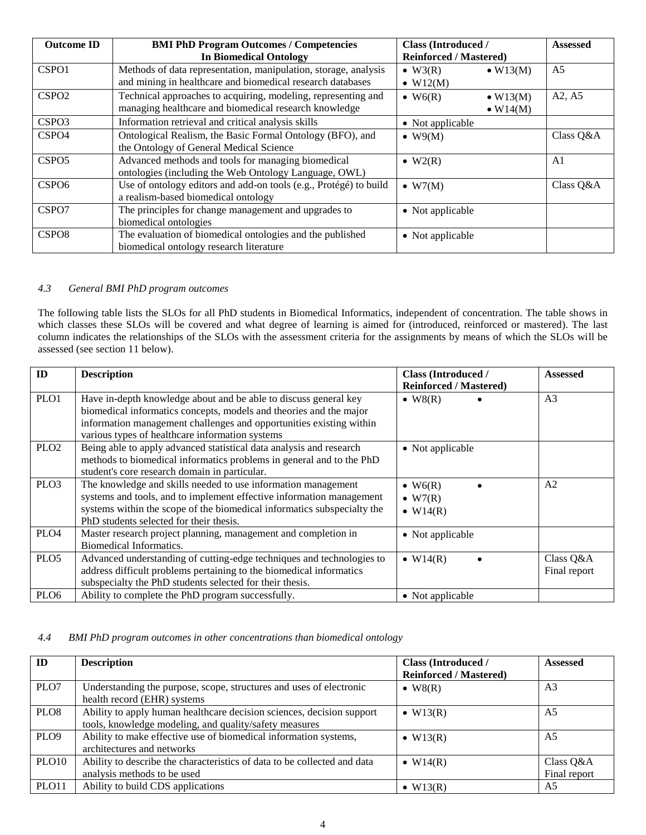| <b>Outcome ID</b> | <b>BMI PhD Program Outcomes / Competencies</b><br><b>Class (Introduced /</b>                                                  |                                     |                                      | <b>Assessed</b> |
|-------------------|-------------------------------------------------------------------------------------------------------------------------------|-------------------------------------|--------------------------------------|-----------------|
|                   | <b>In Biomedical Ontology</b>                                                                                                 | <b>Reinforced / Mastered)</b>       |                                      |                 |
| CSPO1             | Methods of data representation, manipulation, storage, analysis<br>and mining in healthcare and biomedical research databases | $\bullet$ W3(R)<br>$\bullet$ W12(M) | $\bullet$ W13(M)                     | A <sub>5</sub>  |
| CSPO <sub>2</sub> | Technical approaches to acquiring, modeling, representing and<br>managing healthcare and biomedical research knowledge        | $\bullet$ W6(R)                     | $\bullet$ W13(M)<br>$\bullet$ W14(M) | A2, A5          |
| CSPO <sub>3</sub> | Information retrieval and critical analysis skills                                                                            | • Not applicable                    |                                      |                 |
| CSPO <sub>4</sub> | Ontological Realism, the Basic Formal Ontology (BFO), and<br>the Ontology of General Medical Science                          | $\bullet$ W9(M)                     |                                      | Class Q&A       |
| CSPO <sub>5</sub> | Advanced methods and tools for managing biomedical<br>ontologies (including the Web Ontology Language, OWL)                   | $\bullet$ W2(R)                     |                                      | A <sub>1</sub>  |
| CSPO <sub>6</sub> | Use of ontology editors and add-on tools (e.g., Protégé) to build<br>a realism-based biomedical ontology                      | $\bullet$ W7(M)                     |                                      | Class Q&A       |
| CSPO7             | The principles for change management and upgrades to<br>biomedical ontologies                                                 | • Not applicable                    |                                      |                 |
| CSPO <sub>8</sub> | The evaluation of biomedical ontologies and the published<br>biomedical ontology research literature                          | • Not applicable                    |                                      |                 |

#### <span id="page-3-0"></span>*4.3 General BMI PhD program outcomes*

The following table lists the SLOs for all PhD students in Biomedical Informatics, independent of concentration. The table shows in which classes these SLOs will be covered and what degree of learning is aimed for (introduced, reinforced or mastered). The last column indicates the relationships of the SLOs with the assessment criteria for the assignments by means of which the SLOs will be assessed (see section [11 below\)](#page-7-0).

| ID               | <b>Description</b>                                                                                                                                                                                                                                               | <b>Class (Introduced /</b><br><b>Reinforced / Mastered)</b> | <b>Assessed</b>           |
|------------------|------------------------------------------------------------------------------------------------------------------------------------------------------------------------------------------------------------------------------------------------------------------|-------------------------------------------------------------|---------------------------|
| PLO1             | Have in-depth knowledge about and be able to discuss general key<br>biomedical informatics concepts, models and theories and the major<br>information management challenges and opportunities existing within<br>various types of healthcare information systems | $\bullet$ W8(R)                                             | A <sub>3</sub>            |
| PLO <sub>2</sub> | Being able to apply advanced statistical data analysis and research<br>methods to biomedical informatics problems in general and to the PhD<br>student's core research domain in particular.                                                                     | • Not applicable                                            |                           |
| PLO <sub>3</sub> | The knowledge and skills needed to use information management<br>systems and tools, and to implement effective information management<br>systems within the scope of the biomedical informatics subspecialty the<br>PhD students selected for their thesis.      | $\bullet$ W6(R)<br>$\bullet$ W7(R)<br>$\bullet$ W14(R)      | A <sub>2</sub>            |
| PLO <sub>4</sub> | Master research project planning, management and completion in<br>Biomedical Informatics.                                                                                                                                                                        | • Not applicable                                            |                           |
| PLO <sub>5</sub> | Advanced understanding of cutting-edge techniques and technologies to<br>address difficult problems pertaining to the biomedical informatics<br>subspecialty the PhD students selected for their thesis.                                                         | $\bullet$ W14(R)                                            | Class Q&A<br>Final report |
| PLO <sub>6</sub> | Ability to complete the PhD program successfully.                                                                                                                                                                                                                | • Not applicable                                            |                           |

### <span id="page-3-1"></span>*4.4 BMI PhD program outcomes in other concentrations than biomedical ontology*

| ID                | <b>Description</b>                                                                                                              | <b>Class (Introduced /</b><br><b>Reinforced / Mastered)</b> | <b>Assessed</b>           |
|-------------------|---------------------------------------------------------------------------------------------------------------------------------|-------------------------------------------------------------|---------------------------|
| PLO7              | Understanding the purpose, scope, structures and uses of electronic<br>health record (EHR) systems                              | $\bullet$ W8(R)                                             | A <sub>3</sub>            |
| PLO <sub>8</sub>  | Ability to apply human healthcare decision sciences, decision support<br>tools, knowledge modeling, and quality/safety measures | $\bullet$ W13(R)                                            | A5                        |
| PLO <sub>9</sub>  | Ability to make effective use of biomedical information systems,<br>architectures and networks                                  | $\bullet$ W13(R)                                            | A <sub>5</sub>            |
| PLO <sub>10</sub> | Ability to describe the characteristics of data to be collected and data<br>analysis methods to be used                         | $\bullet$ W14(R)                                            | Class Q&A<br>Final report |
| PLO11             | Ability to build CDS applications                                                                                               | $\bullet$ W13(R)                                            | A5                        |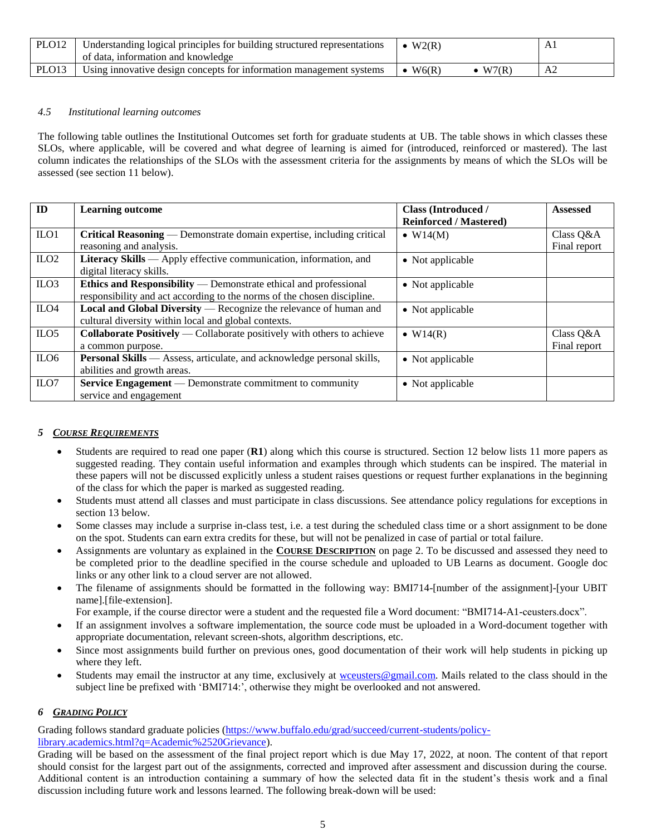| PLO <sub>12</sub> | Understanding logical principles for building structured representations | W2(R)          | Αl |
|-------------------|--------------------------------------------------------------------------|----------------|----|
|                   | of data, information and knowledge                                       |                |    |
| PLO <sub>13</sub> | Using innovative design concepts for information management systems      | W6(R)<br>W7(R) | А2 |

#### <span id="page-4-0"></span>*4.5 Institutional learning outcomes*

The following table outlines the Institutional Outcomes set forth for graduate students at UB. The table shows in which classes these SLOs, where applicable, will be covered and what degree of learning is aimed for (introduced, reinforced or mastered). The last column indicates the relationships of the SLOs with the assessment criteria for the assignments by means of which the SLOs will be assessed (see section [11 below\)](#page-7-0).

| ID               | <b>Learning outcome</b>                                                                          | <b>Class (Introduced /</b>    | <b>Assessed</b>           |
|------------------|--------------------------------------------------------------------------------------------------|-------------------------------|---------------------------|
|                  |                                                                                                  | <b>Reinforced / Mastered)</b> |                           |
| $II$             | Critical Reasoning — Demonstrate domain expertise, including critical<br>reasoning and analysis. | $\bullet$ W14(M)              | Class Q&A<br>Final report |
|                  |                                                                                                  |                               |                           |
| $_{\text{ILO2}}$ | Literacy Skills — Apply effective communication, information, and                                | • Not applicable              |                           |
|                  | digital literacy skills.                                                                         |                               |                           |
| ILO3             | Ethics and Responsibility — Demonstrate ethical and professional                                 | • Not applicable              |                           |
|                  | responsibility and act according to the norms of the chosen discipline.                          |                               |                           |
| ILO <sub>4</sub> | Local and Global Diversity — Recognize the relevance of human and                                | • Not applicable              |                           |
|                  | cultural diversity within local and global contexts.                                             |                               |                           |
| ILO <sub>5</sub> | <b>Collaborate Positively</b> — Collaborate positively with others to achieve                    | $\bullet$ W14(R)              | Class Q&A                 |
|                  | a common purpose.                                                                                |                               | Final report              |
| ILO <sub>6</sub> | Personal Skills — Assess, articulate, and acknowledge personal skills,                           | • Not applicable              |                           |
|                  | abilities and growth areas.                                                                      |                               |                           |
| ILO7             | <b>Service Engagement</b> — Demonstrate commitment to community                                  | • Not applicable              |                           |
|                  | service and engagement                                                                           |                               |                           |

#### <span id="page-4-1"></span>*5 COURSE REQUIREMENTS*

- Students are required to read one paper (**R1**) along which this course is structured. Section [12](#page-8-3) below lists 11 more papers as suggested reading. They contain useful information and examples through which students can be inspired. The material in these papers will not be discussed explicitly unless a student raises questions or request further explanations in the beginning of the class for which the paper is marked as suggested reading.
- Students must attend all classes and must participate in class discussions. See attendance policy regulations for exceptions in section [13](#page-9-0) below.
- Some classes may include a surprise in-class test, i.e. a test during the scheduled class time or a short assignment to be done on the spot. Students can earn extra credits for these, but will not be penalized in case of partial or total failure.
- Assignments are voluntary as explained in the **COURSE D[ESCRIPTION](#page-1-0)** on page [2.](#page-1-0) To be discussed and assessed they need to be completed prior to the deadline specified in the course schedule and uploaded to UB Learns as document. Google doc links or any other link to a cloud server are not allowed.
- The filename of assignments should be formatted in the following way: BMI714-[number of the assignment]-[your UBIT name].[file-extension].

For example, if the course director were a student and the requested file a Word document: "BMI714-A1-ceusters.docx".

- If an assignment involves a software implementation, the source code must be uploaded in a Word-document together with appropriate documentation, relevant screen-shots, algorithm descriptions, etc.
- Since most assignments build further on previous ones, good documentation of their work will help students in picking up where they left.
- Students may email the instructor at any time, exclusively at [wceusters@gmail.com.](mailto:wceusters@gmail.com) Mails related to the class should in the subject line be prefixed with 'BMI714:', otherwise they might be overlooked and not answered.

#### <span id="page-4-2"></span>*6 GRADING POLICY*

Grading follows standard graduate policies [\(https://www.buffalo.edu/grad/succeed/current-students/policy](https://www.buffalo.edu/grad/succeed/current-students/policy-library.academics.html?q=Academic%2520Grievance)[library.academics.html?q=Academic%2520Grievance\)](https://www.buffalo.edu/grad/succeed/current-students/policy-library.academics.html?q=Academic%2520Grievance).

Grading will be based on the assessment of the final project report which is due May 17, 2022, at noon. The content of that report should consist for the largest part out of the assignments, corrected and improved after assessment and discussion during the course. Additional content is an introduction containing a summary of how the selected data fit in the student's thesis work and a final discussion including future work and lessons learned. The following break-down will be used: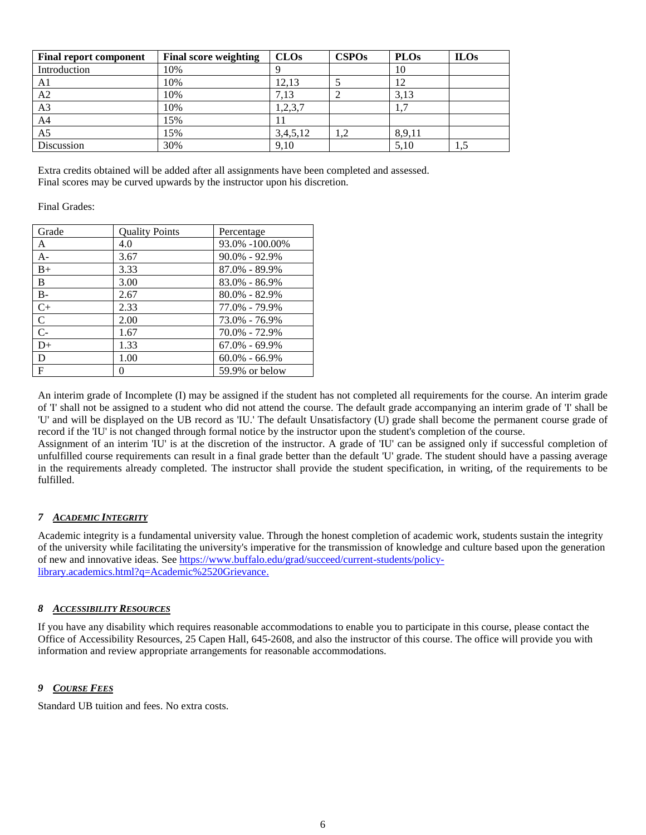| <b>Final report component</b> | <b>Final score weighting</b> | CLOs     | <b>CSPOs</b> | <b>PLOs</b> | <b>ILOs</b> |
|-------------------------------|------------------------------|----------|--------------|-------------|-------------|
| Introduction                  | 10%                          | Q        |              | 10          |             |
| A1                            | 10%                          | 12,13    |              | 12          |             |
| A2                            | 10%                          | 7,13     |              | 3,13        |             |
| A3                            | 10%                          | 1,2,3,7  |              | 1,7         |             |
| A4                            | 15%                          |          |              |             |             |
| A <sub>5</sub>                | 15%                          | 3,4,5,12 | ⊥.∠          | 8,9,11      |             |
| Discussion                    | 30%                          | 9,10     |              | 5,10        | 1,5         |

Extra credits obtained will be added after all assignments have been completed and assessed. Final scores may be curved upwards by the instructor upon his discretion.

#### Final Grades:

| Grade          | <b>Quality Points</b> | Percentage        |
|----------------|-----------------------|-------------------|
| A              | 4.0                   | 93.0% -100.00%    |
| $A -$          | 3.67                  | $90.0\% - 92.9\%$ |
| $B+$           | 3.33                  | 87.0% - 89.9%     |
| B              | 3.00                  | 83.0% - 86.9%     |
| $B -$          | 2.67                  | $80.0\% - 82.9\%$ |
| $C+$           | 2.33                  | 77.0% - 79.9%     |
| $\mathsf{C}$   | 2.00                  | 73.0% - 76.9%     |
| $\overline{C}$ | 1.67                  | 70.0% - 72.9%     |
| $D+$           | 1.33                  | $67.0\% - 69.9\%$ |
| D              | 1.00                  | $60.0\% - 66.9\%$ |
| $\mathbf{F}$   | 0                     | 59.9% or below    |

An interim grade of Incomplete (I) may be assigned if the student has not completed all requirements for the course. An interim grade of 'I' shall not be assigned to a student who did not attend the course. The default grade accompanying an interim grade of 'I' shall be 'U' and will be displayed on the UB record as 'IU.' The default Unsatisfactory (U) grade shall become the permanent course grade of record if the 'IU' is not changed through formal notice by the instructor upon the student's completion of the course.

Assignment of an interim 'IU' is at the discretion of the instructor. A grade of 'IU' can be assigned only if successful completion of unfulfilled course requirements can result in a final grade better than the default 'U' grade. The student should have a passing average in the requirements already completed. The instructor shall provide the student specification, in writing, of the requirements to be fulfilled.

# <span id="page-5-0"></span>*7 ACADEMIC INTEGRITY*

Academic integrity is a fundamental university value. Through the honest completion of academic work, students sustain the integrity of the university while facilitating the university's imperative for the transmission of knowledge and culture based upon the generation of new and innovative ideas. See [https://www.buffalo.edu/grad/succeed/current-students/policy](https://www.buffalo.edu/grad/succeed/current-students/policy-library.academics.html?q=Academic%2520Grievance)[library.academics.html?q=Academic%2520Grievance.](https://www.buffalo.edu/grad/succeed/current-students/policy-library.academics.html?q=Academic%2520Grievance)

#### <span id="page-5-1"></span>*8 ACCESSIBILITY RESOURCES*

If you have any disability which requires reasonable accommodations to enable you to participate in this course, please contact the Office of Accessibility Resources, 25 Capen Hall, 645-2608, and also the instructor of this course. The office will provide you with information and review appropriate arrangements for reasonable accommodations.

#### <span id="page-5-2"></span>*9 COURSE FEES*

Standard UB tuition and fees. No extra costs.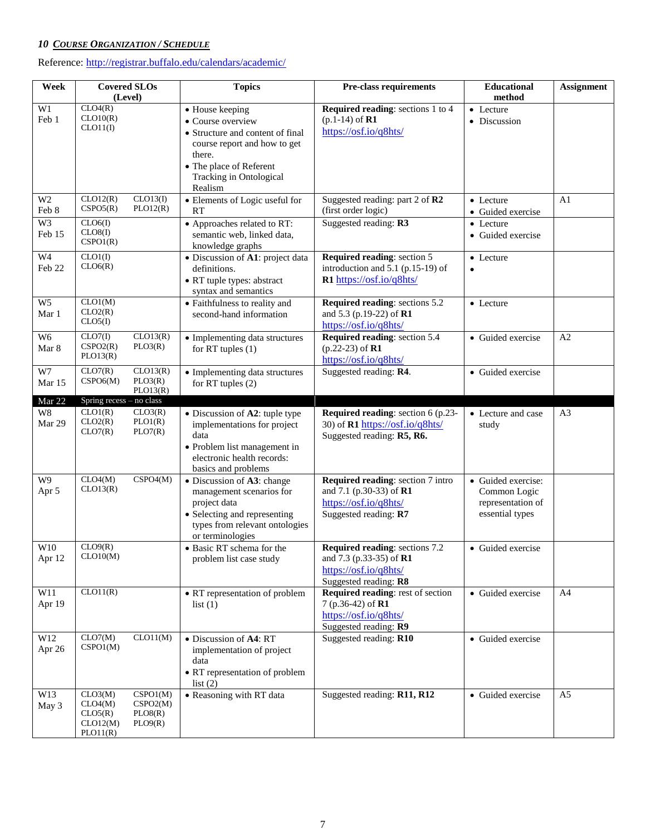# <span id="page-6-0"></span>*10 COURSE ORGANIZATION / SCHEDULE*

Reference: <http://registrar.buffalo.edu/calendars/academic/>

| Week                     | <b>Covered SLOs</b><br>(Level)                                                                      | <b>Topics</b>                                                                                                                                                                       | Pre-class requirements                                                                                         | Educational<br>method                                                      | <b>Assignment</b> |
|--------------------------|-----------------------------------------------------------------------------------------------------|-------------------------------------------------------------------------------------------------------------------------------------------------------------------------------------|----------------------------------------------------------------------------------------------------------------|----------------------------------------------------------------------------|-------------------|
| W1<br>Feb 1              | CLO4(R)<br>CLO10(R)<br>CLO11(I)                                                                     | • House keeping<br>• Course overview<br>• Structure and content of final<br>course report and how to get<br>there.<br>• The place of Referent<br>Tracking in Ontological<br>Realism | <b>Required reading:</b> sections 1 to 4<br>$(p.1-14)$ of <b>R1</b><br>https://osf.io/q8hts/                   | • Lecture<br>· Discussion                                                  |                   |
| W <sub>2</sub><br>Feb 8  | CLO12(R)<br>CLO13(I)<br>CSPO5(R)<br>PLO12(R)                                                        | • Elements of Logic useful for<br><b>RT</b>                                                                                                                                         | Suggested reading: part 2 of R2<br>(first order logic)                                                         | • Lecture<br>• Guided exercise                                             | A <sub>1</sub>    |
| W3<br>Feb 15             | CLO6(I)<br>CLO8(I)<br>CSPO1(R)                                                                      | • Approaches related to RT:<br>semantic web, linked data,<br>knowledge graphs                                                                                                       | Suggested reading: R3                                                                                          | • Lecture<br>• Guided exercise                                             |                   |
| W <sub>4</sub><br>Feb 22 | CLO1(I)<br>CLO6(R)                                                                                  | · Discussion of A1: project data<br>definitions.<br>• RT tuple types: abstract<br>syntax and semantics                                                                              | Required reading: section 5<br>introduction and 5.1 (p.15-19) of<br>R1 https://osf.io/q8hts/                   | • Lecture<br>$\bullet$                                                     |                   |
| W <sub>5</sub><br>Mar 1  | CLO1(M)<br>CLO2(R)<br>CLO5(I)                                                                       | • Faithfulness to reality and<br>second-hand information                                                                                                                            | Required reading: sections 5.2<br>and 5.3 (p.19-22) of R1<br>https://osf.io/q8hts/                             | • Lecture                                                                  |                   |
| W <sub>6</sub><br>Mar 8  | CLO13(R)<br>CLO7(I)<br>CSPO2(R)<br>PLO3(R)<br>PLO13(R)                                              | • Implementing data structures<br>for RT tuples $(1)$                                                                                                                               | Required reading: section 5.4<br>$(p.22-23)$ of R1<br>https://osf.io/q8hts/                                    | • Guided exercise                                                          | A2                |
| W7<br>Mar 15             | CLO7(R)<br>CLO13(R)<br>CSPO6(M)<br>PLO3(R)<br>PLO13(R)                                              | • Implementing data structures<br>for RT tuples $(2)$                                                                                                                               | Suggested reading: R4.                                                                                         | • Guided exercise                                                          |                   |
| Mar 22                   | Spring recess - no class                                                                            |                                                                                                                                                                                     |                                                                                                                |                                                                            |                   |
| W8<br>Mar 29             | CLO1(R)<br>CLO3(R)<br>CLO2(R)<br>PLO1(R)<br>PLO7(R)<br>CLO7(R)                                      | • Discussion of A2: tuple type<br>implementations for project<br>data<br>• Problem list management in<br>electronic health records:<br>basics and problems                          | Required reading: section 6 (p.23-<br>30) of R1 https://osf.io/q8hts/<br>Suggested reading: R5, R6.            | • Lecture and case<br>study                                                | A <sub>3</sub>    |
| W <sub>9</sub><br>Apr 5  | CLO4(M)<br>$\overline{C}$ SPO4(M)<br>CLO13(R)                                                       | • Discussion of A3: change<br>management scenarios for<br>project data<br>• Selecting and representing<br>types from relevant ontologies<br>or terminologies                        | Required reading: section 7 intro<br>and 7.1 (p.30-33) of R1<br>https://osf.io/q8hts/<br>Suggested reading: R7 | • Guided exercise:<br>Common Logic<br>representation of<br>essential types |                   |
| W10<br>Apr 12            | CLO9(R)<br>CLO10(M)                                                                                 | • Basic RT schema for the<br>problem list case study                                                                                                                                | Required reading: sections 7.2<br>and 7.3 (p.33-35) of R1<br>https://osf.io/q8hts/<br>Suggested reading: R8    | • Guided exercise                                                          |                   |
| W11<br>Apr 19            | CLO11(R)                                                                                            | • RT representation of problem<br>list(1)                                                                                                                                           | Required reading: rest of section<br>7 (p.36-42) of $R1$<br>https://osf.io/q8hts/<br>Suggested reading: R9     | • Guided exercise                                                          | A4                |
| W12<br>Apr 26            | CLO7(M)<br>CLO11(M)<br>CSPO1(M)                                                                     | • Discussion of A4: RT<br>implementation of project<br>data<br>• RT representation of problem<br>list(2)                                                                            | Suggested reading: R10                                                                                         | • Guided exercise                                                          |                   |
| W13<br>May 3             | CLO3(M)<br>CSPO1(M)<br>CSPO2(M)<br>CLO4(M)<br>CLO5(R)<br>PLOS(R)<br>CLO12(M)<br>PLO9(R)<br>PLO11(R) | • Reasoning with RT data                                                                                                                                                            | Suggested reading: R11, R12                                                                                    | • Guided exercise                                                          | A <sub>5</sub>    |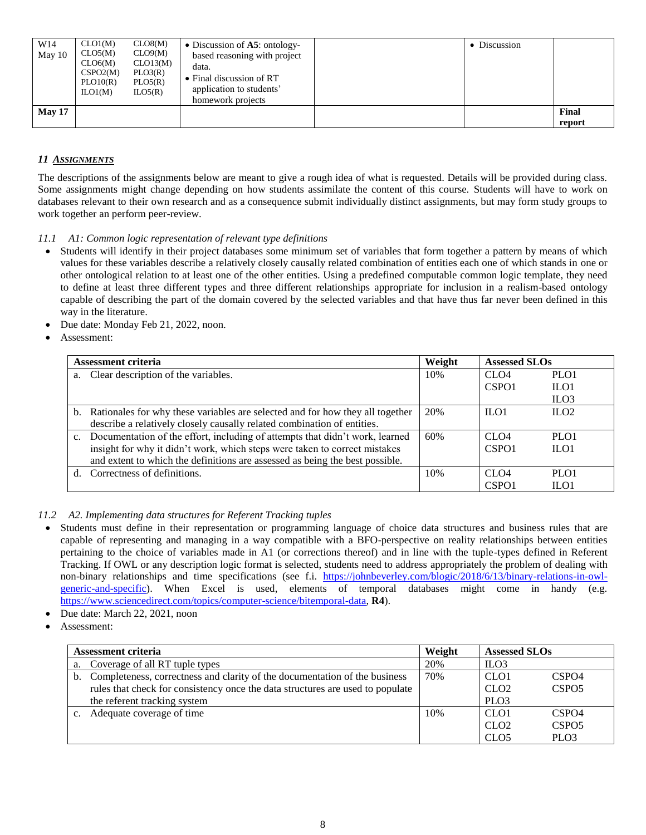| W <sub>14</sub><br>May 10 | CLO1(M)<br>CLO5(M)<br>CLO6(M)<br>CSPO2(M)<br>PLO10(R)<br>LO1(M) | CLO8(M)<br>CLO9(M)<br>CLO13(M)<br>PLO3(R)<br>PLO5(R)<br>ILO5(R) | • Discussion of $\overline{A5}$ : ontology-<br>based reasoning with project<br>data.<br>• Final discussion of RT<br>application to students'<br>homework projects | • Discussion |                 |
|---------------------------|-----------------------------------------------------------------|-----------------------------------------------------------------|-------------------------------------------------------------------------------------------------------------------------------------------------------------------|--------------|-----------------|
| <b>May 17</b>             |                                                                 |                                                                 |                                                                                                                                                                   |              | Final<br>report |

# <span id="page-7-0"></span>*11 ASSIGNMENTS*

The descriptions of the assignments below are meant to give a rough idea of what is requested. Details will be provided during class. Some assignments might change depending on how students assimilate the content of this course. Students will have to work on databases relevant to their own research and as a consequence submit individually distinct assignments, but may form study groups to work together an perform peer-review.

## <span id="page-7-1"></span>*11.1 A1: Common logic representation of relevant type definitions*

- Students will identify in their project databases some minimum set of variables that form together a pattern by means of which values for these variables describe a relatively closely causally related combination of entities each one of which stands in one or other ontological relation to at least one of the other entities. Using a predefined computable common logic template, they need to define at least three different types and three different relationships appropriate for inclusion in a realism-based ontology capable of describing the part of the domain covered by the selected variables and that have thus far never been defined in this way in the literature.
- Due date: Monday Feb 21, 2022, noon.
- Assessment:

| Assessment criteria |                                                                                  | Weight | <b>Assessed SLOs</b> |                  |
|---------------------|----------------------------------------------------------------------------------|--------|----------------------|------------------|
| a.                  | Clear description of the variables.                                              | 10%    | CLO <sub>4</sub>     | PLO <sub>1</sub> |
|                     |                                                                                  |        | CSPO <sub>1</sub>    | ILO1             |
|                     |                                                                                  |        |                      | ILO3             |
|                     | b. Rationales for why these variables are selected and for how they all together | 20%    | $II$ .01             | ILO2             |
|                     | describe a relatively closely causally related combination of entities.          |        |                      |                  |
|                     | c. Documentation of the effort, including of attempts that didn't work, learned  | 60%    | CLO <sub>4</sub>     | PLO <sub>1</sub> |
|                     | insight for why it didn't work, which steps were taken to correct mistakes       |        | CSPO <sub>1</sub>    | $II$ .01         |
|                     | and extent to which the definitions are assessed as being the best possible.     |        |                      |                  |
| $d_{\perp}$         | Correctness of definitions.                                                      | 10%    | CL <sub>O4</sub>     | PLO <sub>1</sub> |
|                     |                                                                                  |        | CSPO <sub>1</sub>    | ILO1             |

#### <span id="page-7-2"></span>*11.2 A2. Implementing data structures for Referent Tracking tuples*

- Students must define in their representation or programming language of choice data structures and business rules that are capable of representing and managing in a way compatible with a BFO-perspective on reality relationships between entities pertaining to the choice of variables made in A1 (or corrections thereof) and in line with the tuple-types defined in Referent Tracking. If OWL or any description logic format is selected, students need to address appropriately the problem of dealing with non-binary relationships and time specifications (see f.i. [https://johnbeverley.com/blogic/2018/6/13/binary-relations-in-owl](https://johnbeverley.com/blogic/2018/6/13/binary-relations-in-owl-generic-and-specific)[generic-and-specific\)](https://johnbeverley.com/blogic/2018/6/13/binary-relations-in-owl-generic-and-specific). When Excel is used, elements of temporal databases might come in handy (e.g. [https://www.sciencedirect.com/topics/computer-science/bitemporal-data,](https://www.sciencedirect.com/topics/computer-science/bitemporal-data) **R4**).
- Due date: March 22, 2021, noon
- Assessment:

| <b>Assessment criteria</b> |                                                                                | Weight | <b>Assessed SLOs</b> |                   |
|----------------------------|--------------------------------------------------------------------------------|--------|----------------------|-------------------|
| a.                         | Coverage of all RT tuple types                                                 | 20%    | ILO <sub>3</sub>     |                   |
|                            | b. Completeness, correctness and clarity of the documentation of the business  | 70%    | CLO <sub>1</sub>     | CSPO <sub>4</sub> |
|                            | rules that check for consistency once the data structures are used to populate |        | CLO <sub>2</sub>     | CSPO <sub>5</sub> |
|                            | the referent tracking system                                                   |        | PLO <sub>3</sub>     |                   |
|                            | Adequate coverage of time                                                      | 10%    | CLO <sub>1</sub>     | CSPO <sub>4</sub> |
|                            |                                                                                |        | CLO <sub>2</sub>     | CSPO <sub>5</sub> |
|                            |                                                                                |        | CLO <sub>5</sub>     | PLO <sub>3</sub>  |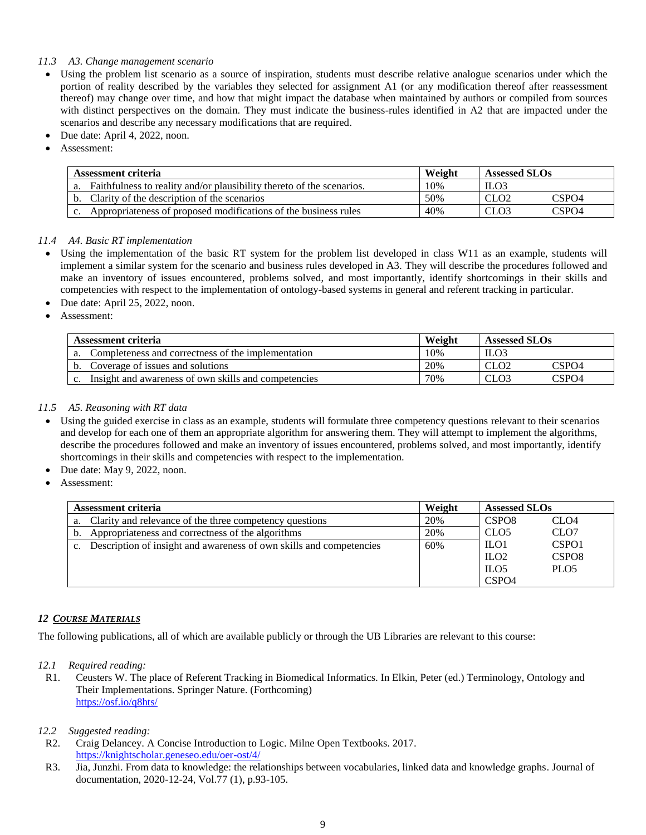#### <span id="page-8-0"></span>*11.3 A3. Change management scenario*

- Using the problem list scenario as a source of inspiration, students must describe relative analogue scenarios under which the portion of reality described by the variables they selected for assignment A1 (or any modification thereof after reassessment thereof) may change over time, and how that might impact the database when maintained by authors or compiled from sources with distinct perspectives on the domain. They must indicate the business-rules identified in A2 that are impacted under the scenarios and describe any necessary modifications that are required.
- Due date: April 4, 2022, noon.
- Assessment:

| Assessment criteria |                                                                       | Weight | <b>Assessed SLOs</b>      |  |  |
|---------------------|-----------------------------------------------------------------------|--------|---------------------------|--|--|
| a.                  | Faithfulness to reality and/or plausibility thereto of the scenarios. | 10%    | ILO <sub>3</sub>          |  |  |
|                     | Clarity of the description of the scenarios                           | 50%    | CSPO4<br>CLO2             |  |  |
|                     | Appropriateness of proposed modifications of the business rules       | 40%    | CSPO <sub>4</sub><br>CLO3 |  |  |

#### <span id="page-8-1"></span>*11.4 A4. Basic RT implementation*

- Using the implementation of the basic RT system for the problem list developed in class W11 as an example, students will implement a similar system for the scenario and business rules developed in A3. They will describe the procedures followed and make an inventory of issues encountered, problems solved, and most importantly, identify shortcomings in their skills and competencies with respect to the implementation of ontology-based systems in general and referent tracking in particular.
- Due date: April 25, 2022, noon.
- Assessment:

| Assessment criteria |                                                      | Weight | <b>Assessed SLOs</b> |                  |  |
|---------------------|------------------------------------------------------|--------|----------------------|------------------|--|
| а.                  | Completeness and correctness of the implementation   | 10%    | ILO <sub>3</sub>     |                  |  |
| b.                  | Coverage of issues and solutions                     | 20%    | CLO <sub>2</sub>     | $\mathbb C$ SPO4 |  |
|                     | Insight and awareness of own skills and competencies | 70%    | CLO <sub>3</sub>     | CSPO4            |  |

#### <span id="page-8-2"></span>*11.5 A5. Reasoning with RT data*

- Using the guided exercise in class as an example, students will formulate three competency questions relevant to their scenarios and develop for each one of them an appropriate algorithm for answering them. They will attempt to implement the algorithms, describe the procedures followed and make an inventory of issues encountered, problems solved, and most importantly, identify shortcomings in their skills and competencies with respect to the implementation.
- Due date: May 9, 2022, noon.
- Assessment:

| Assessment criteria |                                                                     | Weight | <b>Assessed SLOs</b> |                   |
|---------------------|---------------------------------------------------------------------|--------|----------------------|-------------------|
| a.                  | Clarity and relevance of the three competency questions             | 20%    | CSPO <sub>8</sub>    | CLO <sub>4</sub>  |
| b.                  | Appropriateness and correctness of the algorithms                   | 20%    | CLO <sub>5</sub>     | CLO <sub>7</sub>  |
| C <sub>1</sub>      | Description of insight and awareness of own skills and competencies | 60%    | ILO1                 | CSPO <sub>1</sub> |
|                     |                                                                     |        | ILO <sub>2</sub>     | CSPO <sub>8</sub> |
|                     |                                                                     |        | ILO <sub>5</sub>     | PLO <sub>5</sub>  |
|                     |                                                                     |        | CSPO <sub>4</sub>    |                   |

#### <span id="page-8-3"></span>*12 COURSE MATERIALS*

<span id="page-8-4"></span>The following publications, all of which are available publicly or through the UB Libraries are relevant to this course:

#### *12.1 Required reading:*

R1. Ceusters W. The place of Referent Tracking in Biomedical Informatics. In Elkin, Peter (ed.) Terminology, Ontology and Their Implementations. Springer Nature. (Forthcoming) <https://osf.io/q8hts/>

#### <span id="page-8-5"></span>*12.2 Suggested reading:*

- R2. Craig Delancey. A Concise Introduction to Logic. Milne Open Textbooks. 2017. <https://knightscholar.geneseo.edu/oer-ost/4/>
- R3. Jia, Junzhi. From data to knowledge: the relationships between vocabularies, linked data and knowledge graphs. Journal of documentation, 2020-12-24, Vol.77 (1), p.93-105.